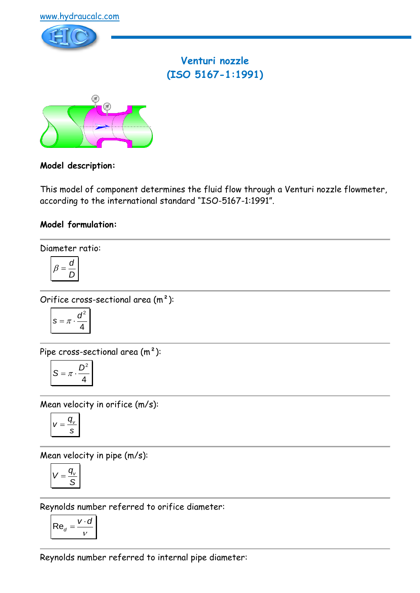



# **Venturi nozzle (ISO 5167-1:1991)**



### **Model description:**

This model of component determines the fluid flow through a Venturi nozzle flowmeter, according to the international standard "ISO-5167-1:1991".

### **Model formulation:**

Diameter ratio:

$$
\beta = \frac{d}{D}
$$

Orifice cross-sectional area (m²):

$$
s = \pi \cdot \frac{d^2}{4}
$$

Pipe cross-sectional area (m²):

$$
S = \pi \cdot \frac{D^2}{4}
$$

Mean velocity in orifice (m/s):

$$
v=\frac{q_v}{s}
$$

Mean velocity in pipe (m/s):

$$
V=\frac{q_{v}}{S}
$$

Reynolds number referred to orifice diameter:

$$
\mathsf{Re}_d = \frac{v \cdot d}{v}
$$

Reynolds number referred to internal pipe diameter: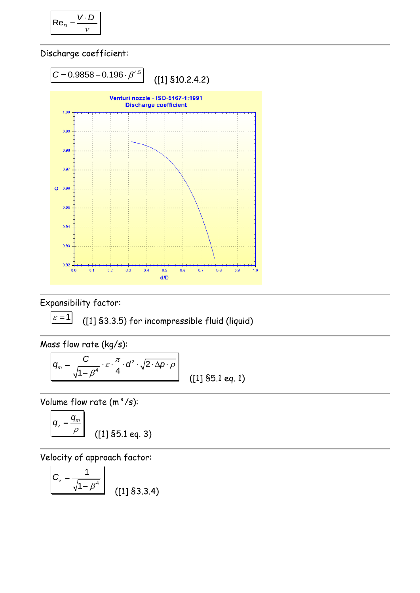$$
\mathsf{Re}_D = \frac{V \cdot D}{V}
$$

Discharge coefficient:



Expansibility factor:

 $\varepsilon = 1$ ([1] §3.3.5) for incompressible fluid (liquid)

Mass flow rate (kg/s):

$$
q_m = \frac{C}{\sqrt{1 - \beta^4}} \cdot \varepsilon \cdot \frac{\pi}{4} \cdot d^2 \cdot \sqrt{2 \cdot \Delta p \cdot \rho}
$$
 (11)

 $\frac{1}{2}$  ([1] §5.1 eq. 1)

Volume flow rate  $(m^3/s)$ :

$$
q_v = \frac{q_m}{\rho}
$$
 (11) \$5.1 eq. 3)

Velocity of approach factor:

$$
C_v = \frac{1}{\sqrt{1 - \beta^4}}
$$
 (11) \$3.3.4)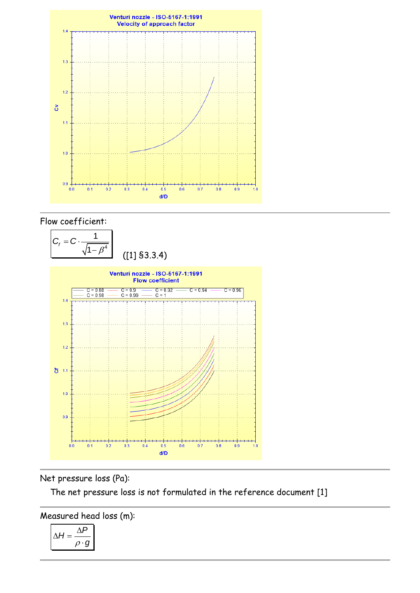

### Flow coefficient:



## Net pressure loss (Pa):

The net pressure loss is not formulated in the reference document [1]

Measured head loss (m):

$$
\Delta H = \frac{\Delta P}{\rho \cdot g}
$$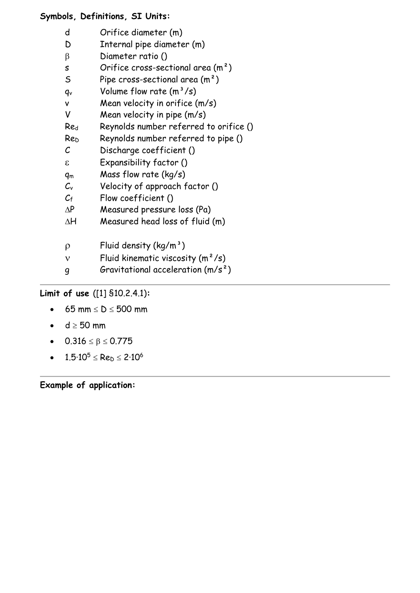### **Symbols, Definitions, SI Units:**

| d | Orifice diameter (m) |  |
|---|----------------------|--|
|   |                      |  |

- D Internal pipe diameter (m)
- $\beta$  Diameter ratio ()
- s Orifice cross-sectional area (m<sup>2</sup>)
- S Pipe cross-sectional area  $(m<sup>2</sup>)$
- $q_v$  Volume flow rate  $(m^3/s)$
- v Mean velocity in orifice (m/s)
- V Mean velocity in pipe (m/s)
- Re<sup>d</sup> Reynolds number referred to orifice ()
- Re<sup>D</sup> Reynolds number referred to pipe ()
- C Discharge coefficient ()
- Expansibility factor ()
- q<sup>m</sup> Mass flow rate (kg/s)
- $C_v$  Velocity of approach factor ()
- $C_f$  Flow coefficient ()
- $\Delta P$  Measured pressure loss (Pa)
- $\Delta H$  Measured head loss of fluid (m)
- $\rho$  Fluid density (kg/m<sup>3</sup>)
- $v$  Fluid kinematic viscosity  $(m^2/s)$
- $g$  Gravitational acceleration  $(m/s^2)$

# **Limit of use** ([1] §10.2.4.1)**:**

- 65 mm  $\leq D \leq 500$  mm
- $d \geq 50$  mm
- $0.316 \le \beta \le 0.775$
- $1.5 \cdot 10^5 \leq Re_b \leq 2 \cdot 10^6$

**Example of application:**